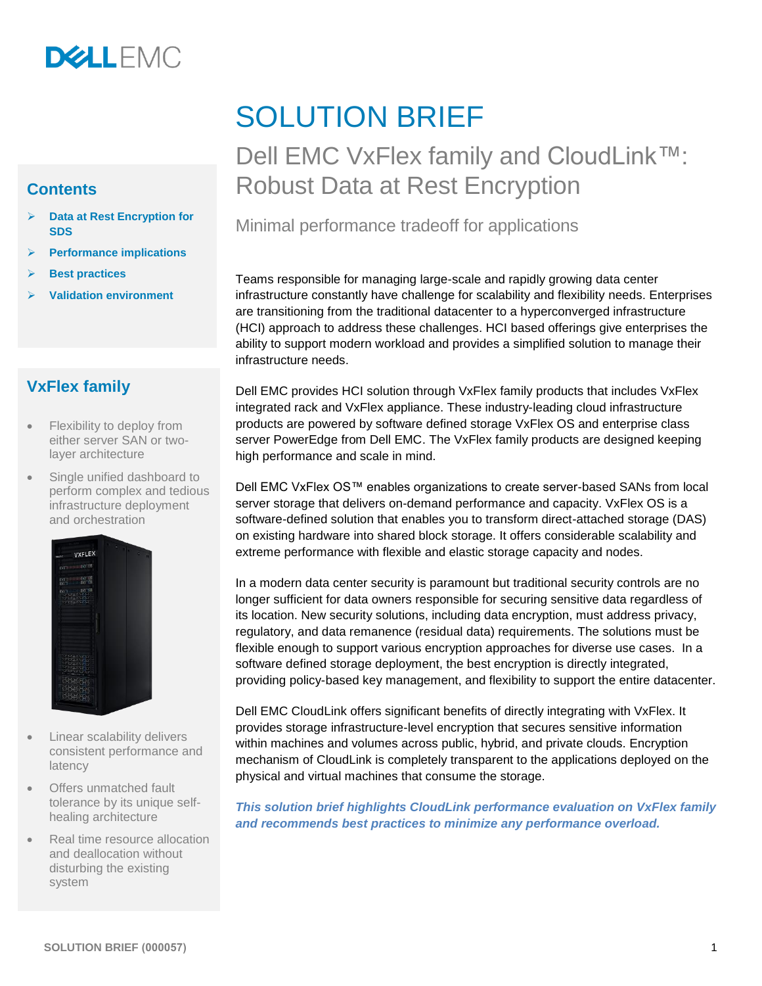

#### **Contents**

- ➢ **[Data at Rest Encryption for](#page-1-0) [SDS](#page-1-0)**
- ➢ **[Performance implications](#page-2-0)**
- ➢ **[Best practices](#page-2-1)**
- ➢ **Validation [environment](#page-3-0)**

#### **VxFlex family**

- Flexibility to deploy from either server SAN or twolayer architecture
- Single unified dashboard to perform complex and tedious infrastructure deployment and orchestration



- Linear scalability delivers consistent performance and latency
- Offers unmatched fault tolerance by its unique selfhealing architecture
- Real time resource allocation and deallocation without disturbing the existing system

# SOLUTION BRIEF

# Dell EMC VxFlex family and CloudLink™: Robust Data at Rest Encryption

#### Minimal performance tradeoff for applications

Teams responsible for managing large-scale and rapidly growing data center infrastructure constantly have challenge for scalability and flexibility needs. Enterprises are transitioning from the traditional datacenter to a hyperconverged infrastructure (HCI) approach to address these challenges. HCI based offerings give enterprises the ability to support modern workload and provides a simplified solution to manage their infrastructure needs.

Dell EMC provides HCI solution through VxFlex family products that includes VxFlex integrated rack and VxFlex appliance. These industry-leading cloud infrastructure products are powered by software defined storage VxFlex OS and enterprise class server PowerEdge from Dell EMC. The VxFlex family products are designed keeping high performance and scale in mind.

Dell EMC VxFlex OS™ enables organizations to create server-based SANs from local server storage that delivers on-demand performance and capacity. VxFlex OS is a software-defined solution that enables you to transform direct-attached storage (DAS) on existing hardware into shared block storage. It offers considerable scalability and extreme performance with flexible and elastic storage capacity and nodes.

In a modern data center security is paramount but traditional security controls are no longer sufficient for data owners responsible for securing sensitive data regardless of its location. New security solutions, including data encryption, must address privacy, regulatory, and data remanence (residual data) requirements. The solutions must be flexible enough to support various encryption approaches for diverse use cases. In a software defined storage deployment, the best encryption is directly integrated, providing policy-based key management, and flexibility to support the entire datacenter.

Dell EMC CloudLink offers significant benefits of directly integrating with VxFlex. It provides storage infrastructure-level encryption that secures sensitive information within machines and volumes across public, hybrid, and private clouds. Encryption mechanism of CloudLink is completely transparent to the applications deployed on the physical and virtual machines that consume the storage.

*This solution brief highlights CloudLink performance evaluation on VxFlex family and recommends best practices to minimize any performance overload.*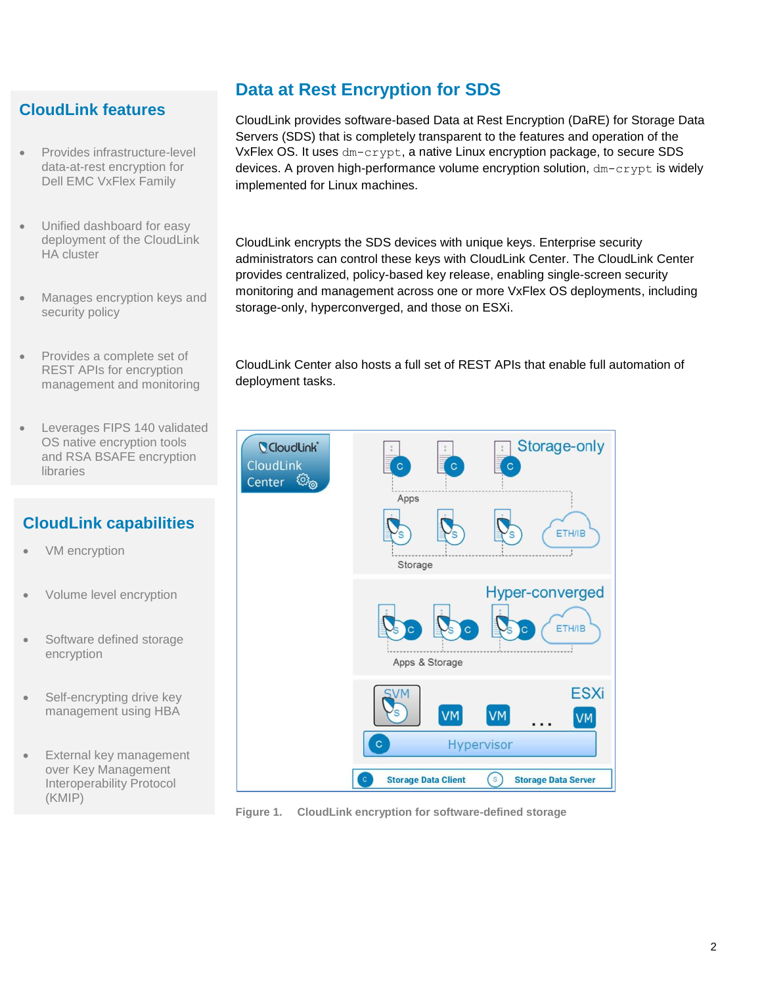# <span id="page-1-0"></span>**CloudLink features**

- Provides infrastructure-level data-at-rest encryption for Dell EMC VxFlex Family
- Unified dashboard for easy deployment of the CloudLink HA cluster
- Manages encryption keys and security policy
- Provides a complete set of REST APIs for encryption management and monitoring
- Leverages FIPS 140 validated OS native encryption tools and RSA BSAFE encryption libraries

# **CloudLink capabilities**

- VM encryption
- Volume level encryption
- Software defined storage encryption
- Self-encrypting drive key management using HBA
- External key management over Key Management Interoperability Protocol (KMIP)

# **Data at Rest Encryption for SDS**

CloudLink provides software-based Data at Rest Encryption (DaRE) for Storage Data Servers (SDS) that is completely transparent to the features and operation of the VxFlex OS. It uses dm-crypt, a native Linux encryption package, to secure SDS devices. A proven high-performance volume encryption solution,  $dm$ -crypt is widely implemented for Linux machines.

CloudLink encrypts the SDS devices with unique keys. Enterprise security administrators can control these keys with CloudLink Center. The CloudLink Center provides centralized, policy-based key release, enabling single-screen security monitoring and management across one or more VxFlex OS deployments, including storage-only, hyperconverged, and those on ESXi.

CloudLink Center also hosts a full set of REST APIs that enable full automation of deployment tasks.



**Figure 1. CloudLink encryption for software-defined storage**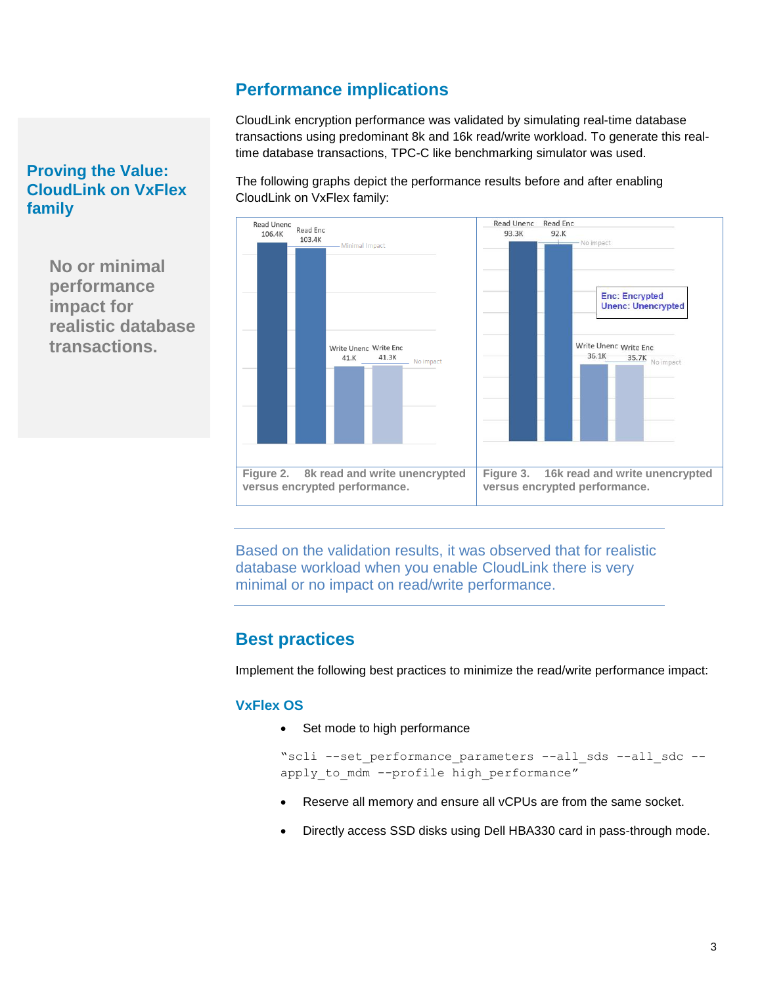### **Performance implications**

CloudLink encryption performance was validated by simulating real-time database transactions using predominant 8k and 16k read/write workload. To generate this realtime database transactions, TPC-C like benchmarking simulator was used.

The following graphs depict the performance results before and after enabling CloudLink on VxFlex family:



Based on the validation results, it was observed that for realistic database workload when you enable CloudLink there is very minimal or no impact on read/write performance.

# <span id="page-2-1"></span>**Best practices**

Implement the following best practices to minimize the read/write performance impact:

#### **VxFlex OS**

• Set mode to high performance

```
"scli --set performance parameters --all sds --all sdc --
apply to mdm --profile high performance"
```
- Reserve all memory and ensure all vCPUs are from the same socket.
- Directly access SSD disks using Dell HBA330 card in pass-through mode.

#### <span id="page-2-0"></span>**Proving the Value: CloudLink on VxFlex family**

**No or minimal performance impact for realistic database transactions.**